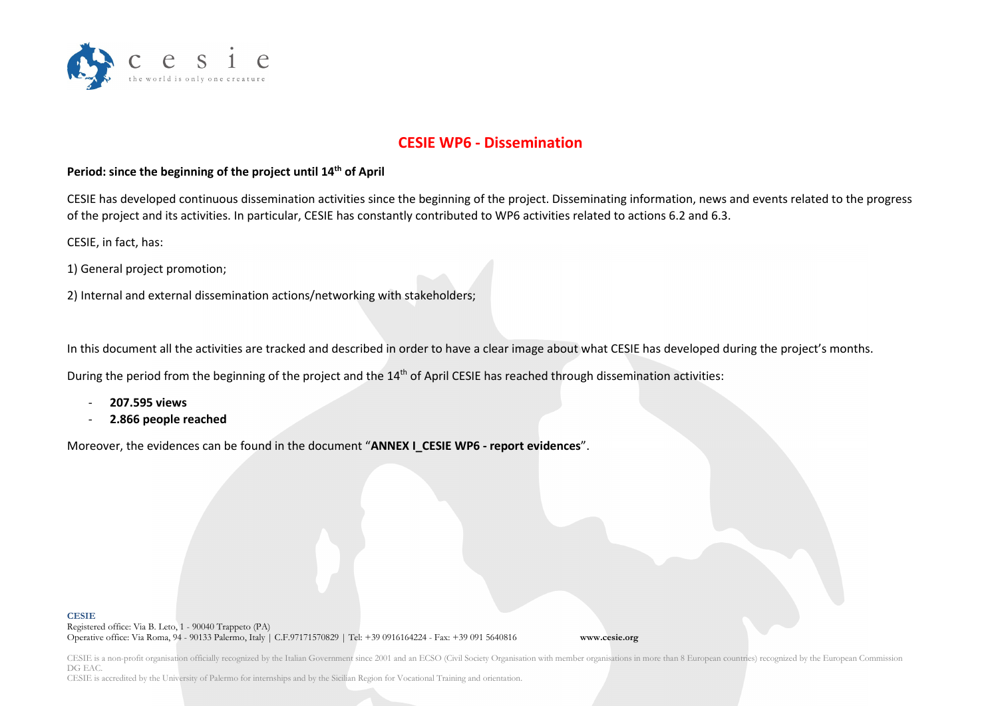

## **CESIE WP6 - Dissemination**

## **Period: since the beginning of the project until 14th of April**

CESIE has developed continuous dissemination activities since the beginning of the project. Disseminating information, news and events related to the progress of the project and its activities. In particular, CESIE has constantly contributed to WP6 activities related to actions 6.2 and 6.3.

CESIE, in fact, has:

1) General project promotion;

2) Internal and external dissemination actions/networking with stakeholders;

In this document all the activities are tracked and described in order to have a clear image about what CESIE has developed during the project's months.

During the period from the beginning of the project and the 14<sup>th</sup> of April CESIE has reached through dissemination activities:

- **207.595 views**
- **2.866 people reached**

Moreover, the evidences can be found in the document "**ANNEX I\_CESIE WP6 - report evidences**".

## **CESIE**

Registered office: Via B. Leto, 1 - 90040 Trappeto (PA) Operative office: Via Roma, 94 - 90133 Palermo, Italy | C.F.97171570829 | Tel: +39 0916164224 - Fax: +39 091 5640816 **www.cesie.org**

CESIE is a non-profit organisation officially recognized by the Italian Government since 2001 and an ECSO (Civil Society Organisation with member organisations in more than 8 European countries) recognized by the European DG EAC.

CESIE is accredited by the University of Palermo for internships and by the Sicilian Region for Vocational Training and orientation.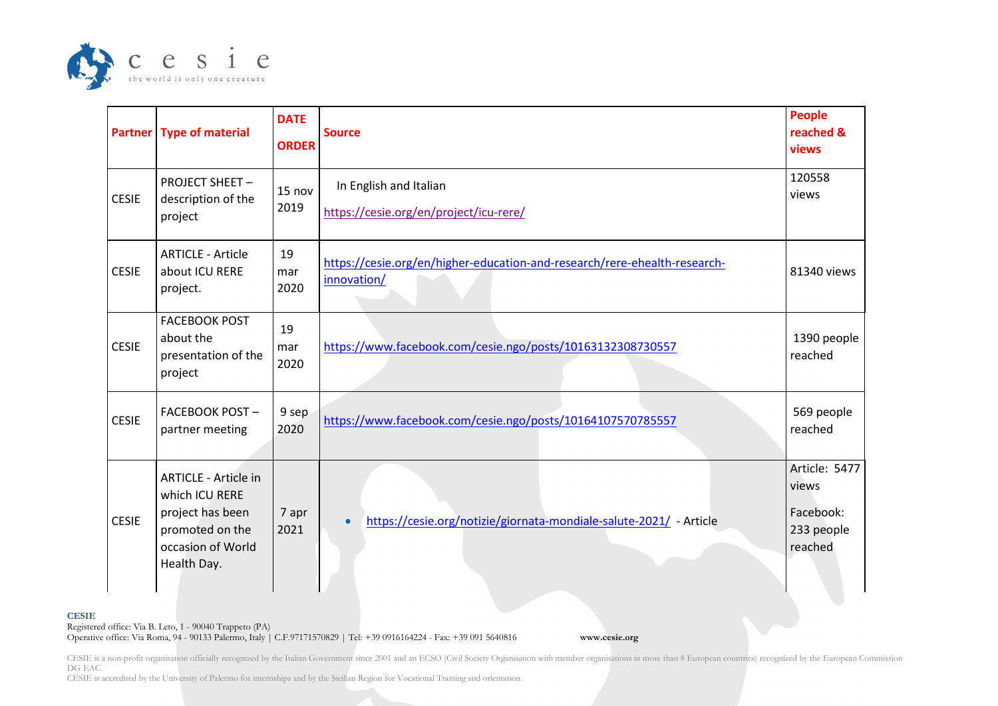

|              | <b>Partner   Type of material</b>                                                                                        | <b>DATE</b><br><b>ORDER</b> | <b>Source</b>                                                                            | People<br>reached &<br>views                                 |
|--------------|--------------------------------------------------------------------------------------------------------------------------|-----------------------------|------------------------------------------------------------------------------------------|--------------------------------------------------------------|
| <b>CESIE</b> | <b>PROJECT SHEET -</b><br>description of the<br>project                                                                  | 15 nov<br>2019              | In English and Italian<br>https://cesie.org/en/project/icu-rere/                         | 120558<br>views                                              |
| <b>CESIE</b> | <b>ARTICLE - Article</b><br>about ICU RERE<br>project.                                                                   | 19<br>mar<br>2020           | https://cesie.org/en/higher-education-and-research/rere-ehealth-research-<br>innovation/ | 81340 views                                                  |
| <b>CESIE</b> | <b>FACEBOOK POST</b><br>about the<br>presentation of the<br>project                                                      | 19<br>mar<br>2020           | https://www.facebook.com/cesie.ngo/posts/10163132308730557                               | 1390 people<br>reached                                       |
| <b>CESIE</b> | <b>FACEBOOK POST-</b><br>partner meeting                                                                                 | 9 sep<br>2020               | https://www.facebook.com/cesie.ngo/posts/10164107570785557                               | 569 people<br>reached                                        |
| <b>CESIE</b> | <b>ARTICLE - Article in</b><br>which ICU RERE<br>project has been<br>promoted on the<br>occasion of World<br>Health Day. | 7 apr<br>2021               | https://cesie.org/notizie/giornata-mondiale-salute-2021/ - Article<br>$\bullet$          | Article: 5477<br>views<br>Facebook:<br>233 people<br>reached |
|              |                                                                                                                          |                             |                                                                                          |                                                              |

Registered office: Via B. Leto, 1 - 90040 Trappeto (PA)

**CESIE**

Operative office: Via Roma, 94 - 90133 Palermo, Italy | C.F.97171570829 | Tel: +39 0916164224 - Fax: +39 091 5640816 **www.cesie.org**

CESIE is a non-profit organisation officially recognized by the Italian Government since 2001 and an ECSO (Civil Society Organisation with member organisations in more than 8 European countries) recognized by the European DG EAC.

CESIE is accredited by the University of Palermo for internships and by the Sicilian Region for Vocational Training and orientation.